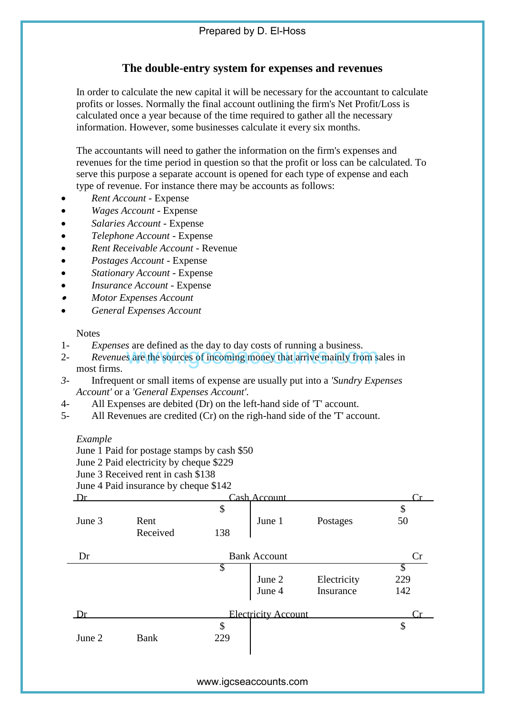## **The double-entry system for expenses and revenues**

In order to calculate the new capital it will be necessary for the accountant to calculate profits or losses. Normally the final account outlining the firm's Net Profit/Loss is calculated once a year because of the time required to gather all the necessary information. However, some businesses calculate it every six months.

The accountants will need to gather the information on the firm's expenses and revenues for the time period in question so that the profit or loss can be calculated. To serve this purpose a separate account is opened for each type of expense and each type of revenue. For instance there may be accounts as follows:

- *Rent Account* Expense
- *Wages Account* Expense
- *Salaries Account* Expense
- *Telephone Account* Expense
- *Rent Receivable Account* Revenue
- *Postages Account* Expense
- *Stationary Account* Expense
- *Insurance Account* Expense
- . *Motor Expenses Account*
- *General Expenses Account*

**Notes** 

- 1- *Expenses* are defined as the day to day costs of running a business.
- 2- *Revenues* are the sources of incoming money that arrive mainly from sales in most firms.
- *3-* Infrequent or small items of expense are usually put into a *'Sundry Expenses Account'* or a *'General Expenses Account'.*
- 4- All Expenses are debited (Dr) on the left-hand side of 'T' account.
- 5- All Revenues are credited (Cr) on the righ-hand side of the 'T' account.

## *Example*

- June 2 Paid electricity by cheque \$229
- June 3 Received rent in cash \$138
- June 4 Paid insurance by cheque \$142

|             | <i>Expenses</i> are defined as the day to day costs of funning a business. |                           |                      | <i>Revenues</i> are the sources of incoming money that arrive mainly from sales in  |     |  |
|-------------|----------------------------------------------------------------------------|---------------------------|----------------------|-------------------------------------------------------------------------------------|-----|--|
| most firms. |                                                                            |                           |                      |                                                                                     |     |  |
|             |                                                                            |                           |                      | Infrequent or small items of expense are usually put into a <i>'Sundry Expenses</i> |     |  |
|             | Account' or a 'General Expenses Account'.                                  |                           |                      |                                                                                     |     |  |
|             | All Expenses are debited (Dr) on the left-hand side of 'T' account.        |                           |                      |                                                                                     |     |  |
|             |                                                                            |                           |                      | All Revenues are credited $(Cr)$ on the righ-hand side of the $T'$ account.         |     |  |
|             |                                                                            |                           |                      |                                                                                     |     |  |
| Example     |                                                                            |                           |                      |                                                                                     |     |  |
|             | June 1 Paid for postage stamps by cash \$50                                |                           |                      |                                                                                     |     |  |
|             | June 2 Paid electricity by cheque \$229                                    |                           |                      |                                                                                     |     |  |
|             | June 3 Received rent in cash \$138                                         |                           |                      |                                                                                     |     |  |
|             | June 4 Paid insurance by cheque \$142                                      |                           |                      |                                                                                     |     |  |
| $1$ r       |                                                                            |                           | <u> Cash Account</u> |                                                                                     |     |  |
|             |                                                                            | \$                        |                      |                                                                                     | \$  |  |
| June 3      | Rent                                                                       |                           | June 1               | Postages                                                                            | 50  |  |
|             | Received                                                                   | 138                       |                      |                                                                                     |     |  |
|             |                                                                            |                           |                      |                                                                                     |     |  |
| Dr          |                                                                            | <b>Bank Account</b>       |                      |                                                                                     | Cr  |  |
|             |                                                                            | S                         |                      |                                                                                     | S   |  |
|             |                                                                            |                           | June 2               | Electricity                                                                         | 229 |  |
|             |                                                                            |                           | June 4               | Insurance                                                                           | 142 |  |
| Dr          | <b>Electricity Account</b>                                                 |                           |                      |                                                                                     |     |  |
|             |                                                                            | $\boldsymbol{\mathsf{S}}$ |                      |                                                                                     | \$  |  |
| June 2      | <b>Bank</b>                                                                | 229                       |                      |                                                                                     |     |  |
|             |                                                                            |                           |                      |                                                                                     |     |  |
|             |                                                                            |                           |                      |                                                                                     |     |  |
|             |                                                                            |                           |                      |                                                                                     |     |  |
|             |                                                                            | www.igcseaccounts.com     |                      |                                                                                     |     |  |